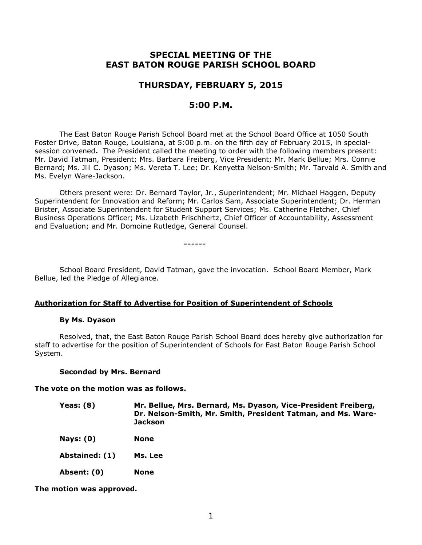# **SPECIAL MEETING OF THE EAST BATON ROUGE PARISH SCHOOL BOARD**

## **THURSDAY, FEBRUARY 5, 2015**

## **5:00 P.M.**

The East Baton Rouge Parish School Board met at the School Board Office at 1050 South Foster Drive, Baton Rouge, Louisiana, at 5:00 p.m. on the fifth day of February 2015, in specialsession convened**.** The President called the meeting to order with the following members present: Mr. David Tatman, President; Mrs. Barbara Freiberg, Vice President; Mr. Mark Bellue; Mrs. Connie Bernard; Ms. Jill C. Dyason; Ms. Vereta T. Lee; Dr. Kenyetta Nelson-Smith; Mr. Tarvald A. Smith and Ms. Evelyn Ware-Jackson.

Others present were: Dr. Bernard Taylor, Jr., Superintendent; Mr. Michael Haggen, Deputy Superintendent for Innovation and Reform; Mr. Carlos Sam, Associate Superintendent; Dr. Herman Brister, Associate Superintendent for Student Support Services; Ms. Catherine Fletcher, Chief Business Operations Officer; Ms. Lizabeth Frischhertz, Chief Officer of Accountability, Assessment and Evaluation; and Mr. Domoine Rutledge, General Counsel.

------

School Board President, David Tatman, gave the invocation. School Board Member, Mark Bellue, led the Pledge of Allegiance.

### **Authorization for Staff to Advertise for Position of Superintendent of Schools**

### **By Ms. Dyason**

Resolved, that, the East Baton Rouge Parish School Board does hereby give authorization for staff to advertise for the position of Superintendent of Schools for East Baton Rouge Parish School System.

### **Seconded by Mrs. Bernard**

**The vote on the motion was as follows.**

| Yeas: $(8)$ | Mr. Bellue, Mrs. Bernard, Ms. Dyason, Vice-President Freiberg, |
|-------------|----------------------------------------------------------------|
|             | Dr. Nelson-Smith, Mr. Smith, President Tatman, and Ms. Ware-   |
|             | Jackson                                                        |

- **Nays: (0) None**
- **Abstained: (1) Ms. Lee**
- **Absent: (0) None**

**The motion was approved.**